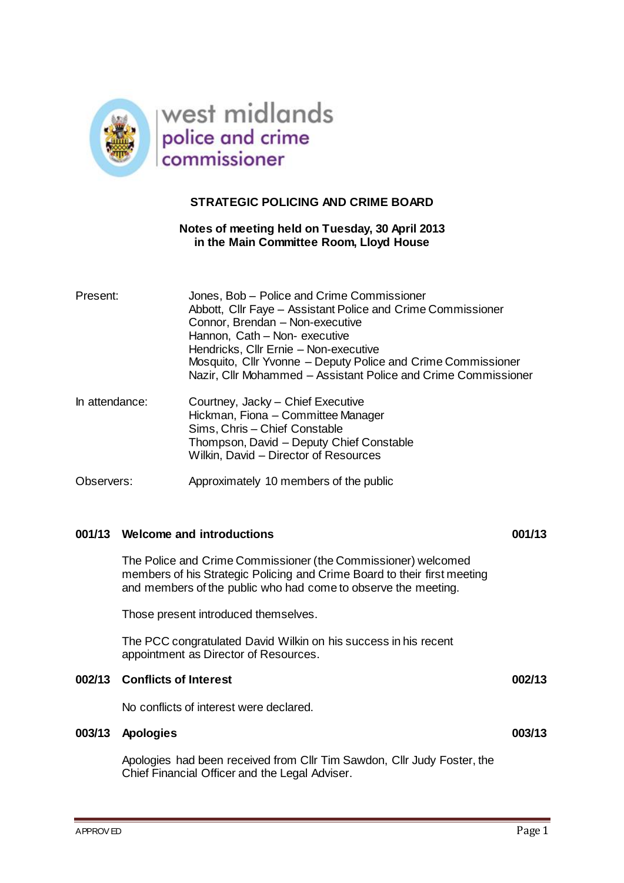

## **STRATEGIC POLICING AND CRIME BOARD**

#### **Notes of meeting held on Tuesday, 30 April 2013 in the Main Committee Room, Lloyd House**

| Present:       | Jones, Bob - Police and Crime Commissioner<br>Abbott, Cllr Faye - Assistant Police and Crime Commissioner<br>Connor, Brendan - Non-executive<br>Hannon, Cath - Non- executive<br>Hendricks, Cllr Ernie - Non-executive<br>Mosquito, Cllr Yvonne – Deputy Police and Crime Commissioner<br>Nazir, Cllr Mohammed - Assistant Police and Crime Commissioner |
|----------------|----------------------------------------------------------------------------------------------------------------------------------------------------------------------------------------------------------------------------------------------------------------------------------------------------------------------------------------------------------|
| In attendance: | Courtney, Jacky - Chief Executive<br>Hickman, Fiona - Committee Manager<br>Sims, Chris - Chief Constable<br>Thompson, David - Deputy Chief Constable<br>Wilkin, David - Director of Resources                                                                                                                                                            |
| Observers:     | Approximately 10 members of the public                                                                                                                                                                                                                                                                                                                   |

#### **001/13 Welcome and introductions 001/13**

The Police and Crime Commissioner (the Commissioner) welcomed members of his Strategic Policing and Crime Board to their first meeting and members of the public who had come to observe the meeting.

Those present introduced themselves.

The PCC congratulated David Wilkin on his success in his recent appointment as Director of Resources.

#### **002/13 Conflicts of Interest 002/13**

No conflicts of interest were declared.

#### **003/13 Apologies 003/13**

Apologies had been received from Cllr Tim Sawdon, Cllr Judy Foster, the Chief Financial Officer and the Legal Adviser.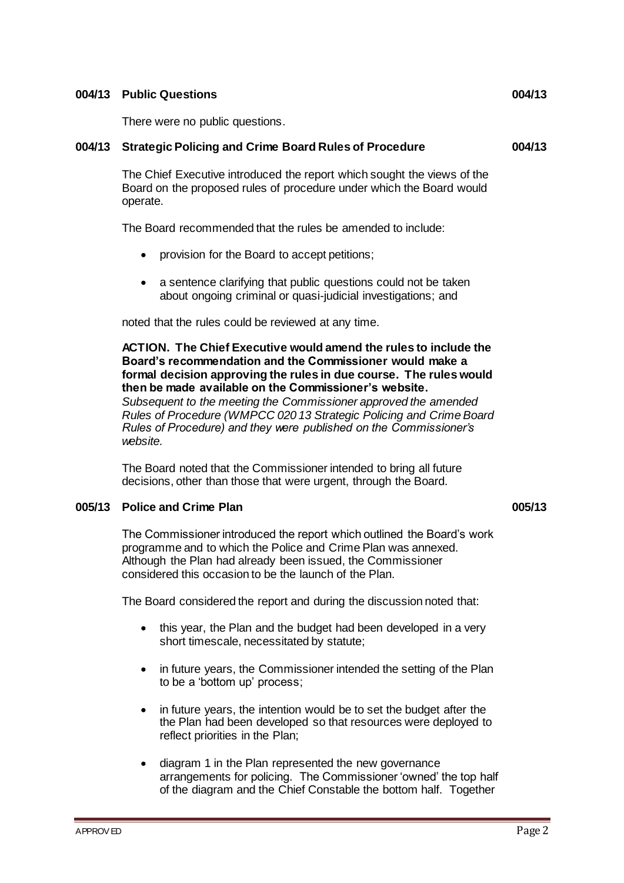#### **004/13 Public Questions 004/13**

There were no public questions.

## **004/13 Strategic Policing and Crime Board Rules of Procedure 004/13**

The Chief Executive introduced the report which sought the views of the Board on the proposed rules of procedure under which the Board would operate.

The Board recommended that the rules be amended to include:

- provision for the Board to accept petitions;
- a sentence clarifying that public questions could not be taken about ongoing criminal or quasi-judicial investigations; and

noted that the rules could be reviewed at any time.

**ACTION. The Chief Executive would amend the rules to include the Board's recommendation and the Commissioner would make a formal decision approving the rules in due course. The rules would then be made available on the Commissioner's website.**

*Subsequent to the meeting the Commissioner approved the amended Rules of Procedure (WMPCC 020 13 Strategic Policing and Crime Board Rules of Procedure) and they were published on the Commissioner's website.*

The Board noted that the Commissioner intended to bring all future decisions, other than those that were urgent, through the Board.

#### **005/13 Police and Crime Plan 005/13**

The Commissioner introduced the report which outlined the Board's work programme and to which the Police and Crime Plan was annexed. Although the Plan had already been issued, the Commissioner considered this occasion to be the launch of the Plan.

The Board considered the report and during the discussion noted that:

- this year, the Plan and the budget had been developed in a very short timescale, necessitated by statute;
- in future years, the Commissioner intended the setting of the Plan to be a 'bottom up' process;
- in future years, the intention would be to set the budget after the the Plan had been developed so that resources were deployed to reflect priorities in the Plan;
- diagram 1 in the Plan represented the new governance arrangements for policing. The Commissioner 'owned' the top half of the diagram and the Chief Constable the bottom half. Together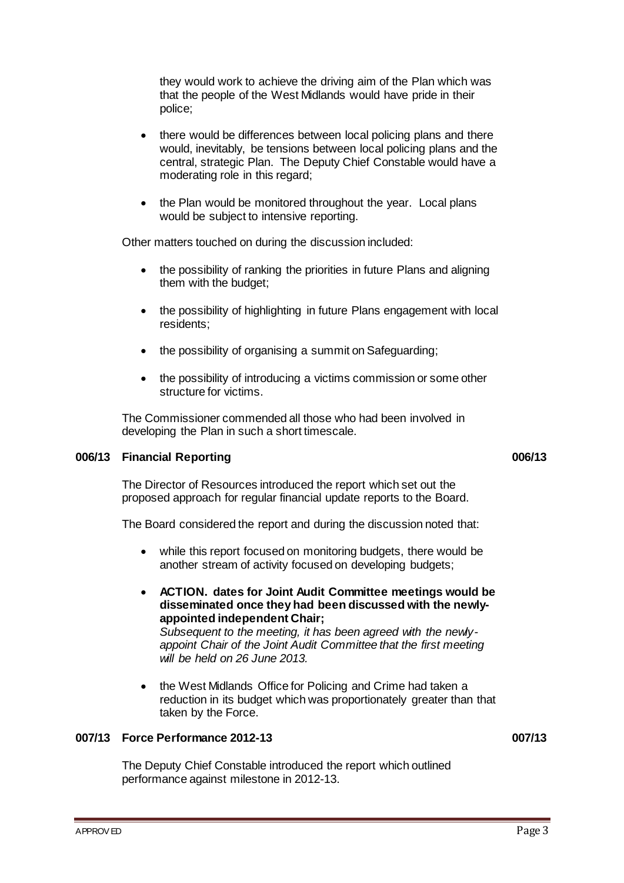they would work to achieve the driving aim of the Plan which was that the people of the West Midlands would have pride in their police;

- there would be differences between local policing plans and there would, inevitably, be tensions between local policing plans and the central, strategic Plan. The Deputy Chief Constable would have a moderating role in this regard;
- the Plan would be monitored throughout the year. Local plans would be subject to intensive reporting.

Other matters touched on during the discussion included:

- the possibility of ranking the priorities in future Plans and aligning them with the budget;
- the possibility of highlighting in future Plans engagement with local residents;
- the possibility of organising a summit on Safeguarding;
- the possibility of introducing a victims commission or some other structure for victims.

The Commissioner commended all those who had been involved in developing the Plan in such a short timescale.

# **006/13 Financial Reporting 006/13**

The Director of Resources introduced the report which set out the proposed approach for regular financial update reports to the Board.

The Board considered the report and during the discussion noted that:

- while this report focused on monitoring budgets, there would be another stream of activity focused on developing budgets;
- **ACTION. dates for Joint Audit Committee meetings would be disseminated once they had been discussed with the newlyappointed independent Chair;**

*Subsequent to the meeting, it has been agreed with the newlyappoint Chair of the Joint Audit Committee that the first meeting will be held on 26 June 2013.*

 the West Midlands Office for Policing and Crime had taken a reduction in its budget which was proportionately greater than that taken by the Force.

#### **007/13 Force Performance 2012-13 007/13**

The Deputy Chief Constable introduced the report which outlined performance against milestone in 2012-13.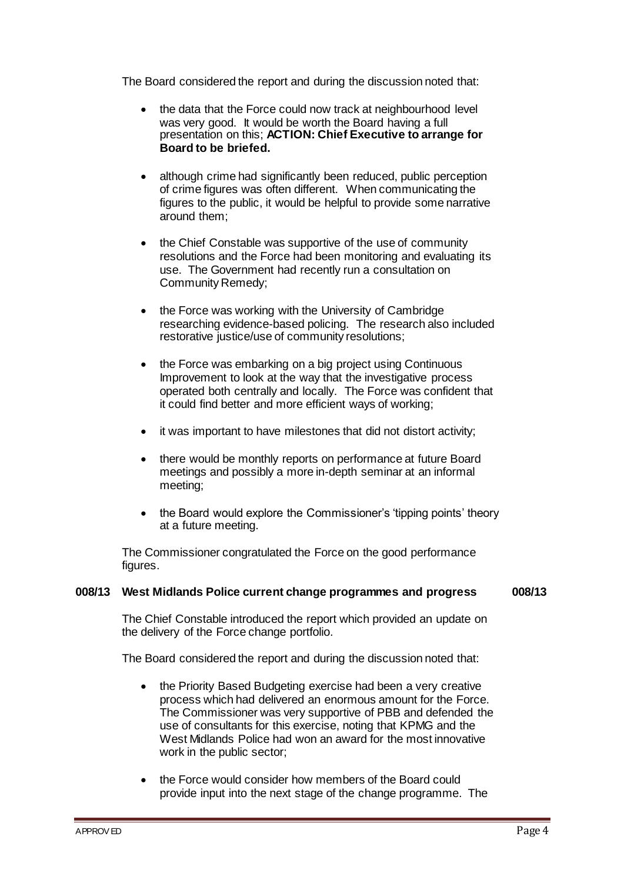The Board considered the report and during the discussion noted that:

- the data that the Force could now track at neighbourhood level was very good. It would be worth the Board having a full presentation on this; **ACTION: Chief Executive to arrange for Board to be briefed.**
- although crime had significantly been reduced, public perception of crime figures was often different. When communicating the figures to the public, it would be helpful to provide some narrative around them;
- the Chief Constable was supportive of the use of community resolutions and the Force had been monitoring and evaluating its use. The Government had recently run a consultation on Community Remedy;
- the Force was working with the University of Cambridge researching evidence-based policing. The research also included restorative justice/use of community resolutions;
- the Force was embarking on a big project using Continuous Improvement to look at the way that the investigative process operated both centrally and locally. The Force was confident that it could find better and more efficient ways of working;
- it was important to have milestones that did not distort activity;
- there would be monthly reports on performance at future Board meetings and possibly a more in-depth seminar at an informal meeting;
- the Board would explore the Commissioner's 'tipping points' theory at a future meeting.

The Commissioner congratulated the Force on the good performance figures.

#### **008/13 West Midlands Police current change programmes and progress 008/13**

The Chief Constable introduced the report which provided an update on the delivery of the Force change portfolio.

The Board considered the report and during the discussion noted that:

- the Priority Based Budgeting exercise had been a very creative process which had delivered an enormous amount for the Force. The Commissioner was very supportive of PBB and defended the use of consultants for this exercise, noting that KPMG and the West Midlands Police had won an award for the most innovative work in the public sector;
- the Force would consider how members of the Board could provide input into the next stage of the change programme. The